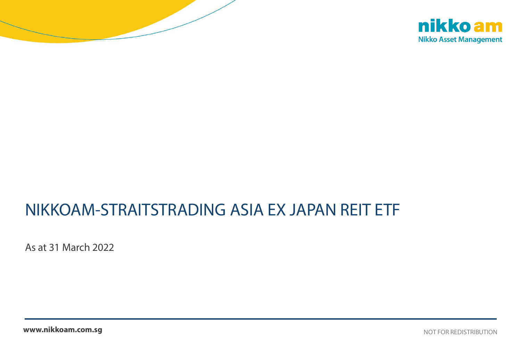



# NIKKOAM-STRAITSTRADING ASIA EX JAPAN REIT ETF

As at 31 March 2022

**www.nikkoam.com.sg** Not the Manual League of the Manual League of the Notation of the Redistribution of  $\sim$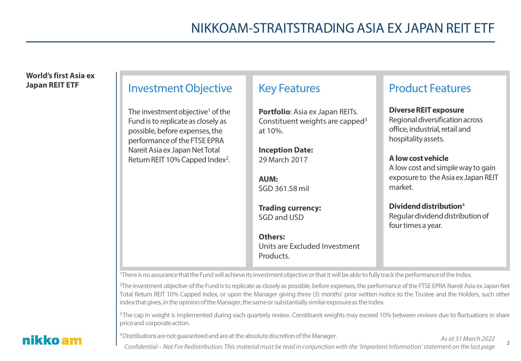#### **World's first Asia ex Japan REIT ETF** Investment Objective The investment objective<sup>1</sup> of the Fund is to replicate as closely as possible, before expenses, the performance of the FTSE EPRA NareitAsia ex Japan Net Total Return REIT 10% Capped Index2. Key Features **Portfolio**: Asia ex Japan REITs. Constituent weights are capped<sup>3</sup> at 10%. **Inception Date:** 29 March 2017 **AUM:** SGD 361.58 mil **Trading currency:** SGD and USD **Others:** Units are Excluded Investment **Products** Product Features **Diverse REIT exposure** Regional diversification across office, industrial, retail and hospitality assets. **A low cost vehicle** A low cost and simple way to gain exposure to the Asia ex Japan REIT market. **Dividend distribution**<sup>4</sup> Regular dividend distribution of four times a year.

<sup>1</sup>There is no assurance that the Fund will achieve its investment objective or that it will be able to fully track the performance of the Index.

<sup>2</sup>The investment objective of the Fund is to replicate as closely as possible, before expenses, the performance of the FTSE EPRA Nareit Asia ex Japan Net Total Return REIT 10% Capped Index, or upon the Manager giving three (3) months' prior written notice to the Trustee and the Holders, such other index that gives, in the opinion of the Manager, the same or substantially similar exposure as the Index.

<sup>3</sup>The cap in weight is implemented during each quarterly review. Constituent weights may exceed 10% between reviews due to fluctuations in share priceand corporateaction.

<sup>4</sup> Distributions are not guaranteed and are at the absolute discretion of the Manager.

nikko am

#### *As at 31 March 2022*

 $\mathfrak{Z}$ 

*Confidential – Not For Redistribution. This material must be read in conjunction with the 'Important Information' statement on the last page*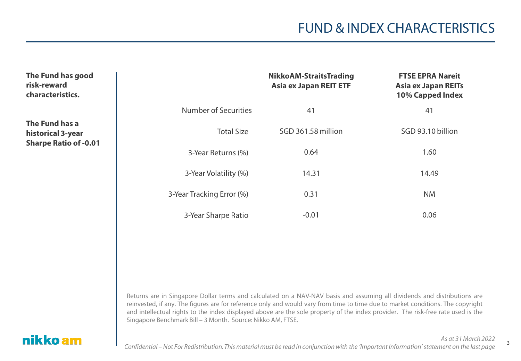3

| The Fund has good<br>risk-reward<br>characteristics.                |                             | <b>NikkoAM-StraitsTrading</b><br><b>Asia ex Japan REIT ETF</b> | <b>FTSE EPRA Nareit</b><br><b>Asia ex Japan REITs</b><br>10% Capped Index |
|---------------------------------------------------------------------|-----------------------------|----------------------------------------------------------------|---------------------------------------------------------------------------|
|                                                                     | <b>Number of Securities</b> | 41                                                             | 41                                                                        |
| The Fund has a<br>historical 3-year<br><b>Sharpe Ratio of -0.01</b> | <b>Total Size</b>           | SGD 361.58 million                                             | SGD 93.10 billion                                                         |
|                                                                     | 3-Year Returns (%)          | 0.64                                                           | 1.60                                                                      |
|                                                                     | 3-Year Volatility (%)       | 14.31                                                          | 14.49                                                                     |
|                                                                     | 3-Year Tracking Error (%)   | 0.31                                                           | <b>NM</b>                                                                 |
|                                                                     | 3-Year Sharpe Ratio         | $-0.01$                                                        | 0.06                                                                      |

Returns are in Singapore Dollar terms and calculated on a NAV-NAV basis and assuming all dividends and distributions are reinvested, if any. The figures are for reference only and would vary from time to time due to market conditions. The copyright and intellectual rights to the index displayed above are the sole property of the index provider. The risk-free rate used is the Singapore Benchmark Bill – 3 Month. Source: Nikko AM, FTSE.

#### nikko am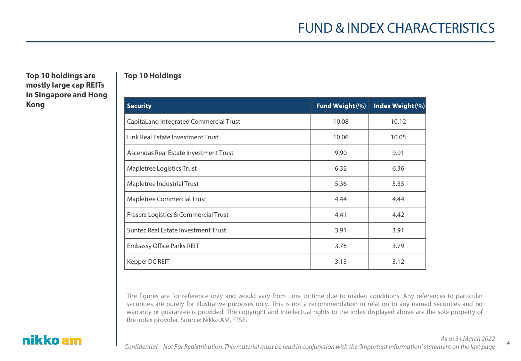4

#### Top 10 holdings are | Top 10 Holdings **mostly large cap REITs in Singapore and Hong Kong**

| <b>Security</b>                        | <b>Fund Weight (%)</b> | Index Weight (%) |
|----------------------------------------|------------------------|------------------|
| CapitaLand Integrated Commercial Trust | 10.08                  | 10.12            |
| Link Real Estate Investment Trust      | 10.06                  | 10.05            |
| Ascendas Real Estate Investment Trust  | 9.90                   | 9.91             |
| Mapletree Logistics Trust              | 6.32                   | 6.36             |
| Mapletree Industrial Trust             | 5.36                   | 5.35             |
| Mapletree Commercial Trust             | 4.44                   | 4.44             |
| Frasers Logistics & Commercial Trust   | 4.41                   | 4.42             |
| Suntec Real Estate Investment Trust    | 3.91                   | 3.91             |
| <b>Embassy Office Parks REIT</b>       | 3.78                   | 3.79             |
| Keppel DC REIT                         | 3.13                   | 3.12             |

The figures are for reference only and would vary from time to time due to market conditions. Any references to particular securities are purely for illustrative purposes only. This is not a recommendation in relation to any named securities and no warranty or guarantee is provided. The copyright and intellectual rights to the index displayed above are the sole property of the index provider. Source: Nikko AM, FTSE.

#### nikko am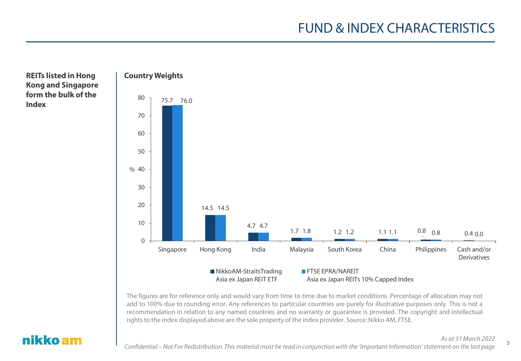#### **REITs listed in Hong | Country Weights Kong and Singapore form the bulk of the Index**



The figures are for reference only and would vary from time to time due to market conditions. Percentage of allocation may not add to 100% due to rounding error. Any references to particular countries are purely for illustrative purposes only. This is not a recommendation in relation to any named countries and no warranty or guarantee is provided. The copyright and intellectual rights to the index displayed above are the sole property of the index provider. Source: Nikko AM, FTSE.

#### nikko am

*As at 31 March 2022*

5

*Confidential – Not For Redistribution. This material must be read in conjunction with the 'Important Information' statement on the last page*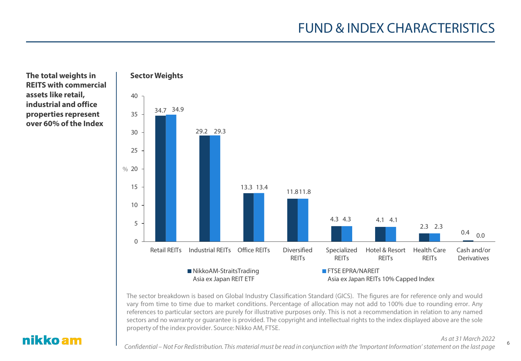The total weights in Fig. 3 Sector Weights **REITS with commercial assets like retail, industrial and office properties represent over 60% of the Index**



The sector breakdown is based on Global Industry Classification Standard (GICS). The figures are for reference only and would vary from time to time due to market conditions. Percentage of allocation may not add to 100% due to rounding error. Any references to particular sectors are purely for illustrative purposes only. This is not a recommendation in relation to any named sectors and no warranty or guarantee is provided. The copyright and intellectual rights to the index displayed above are the sole property of the index provider. Source: Nikko AM, FTSE.

#### nikko am

*As at 31 March 2022*

*Confidential – Not For Redistribution. This material must be read in conjunction with the 'Important Information' statement on the last page*

6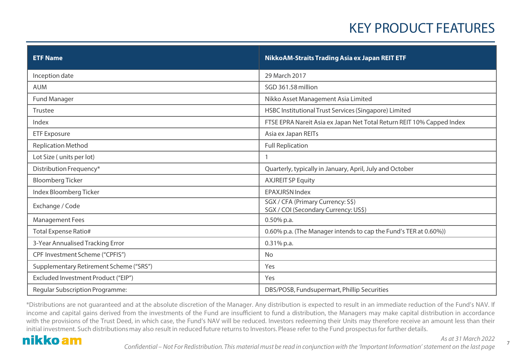## KEY PRODUCT FEATURES

| <b>ETF Name</b>                         | NikkoAM-Straits Trading Asia ex Japan REIT ETF                            |
|-----------------------------------------|---------------------------------------------------------------------------|
| Inception date                          | 29 March 2017                                                             |
| <b>AUM</b>                              | SGD 361.58 million                                                        |
| <b>Fund Manager</b>                     | Nikko Asset Management Asia Limited                                       |
| Trustee                                 | HSBC Institutional Trust Services (Singapore) Limited                     |
| Index                                   | FTSE EPRA Nareit Asia ex Japan Net Total Return REIT 10% Capped Index     |
| <b>ETF Exposure</b>                     | Asia ex Japan REITs                                                       |
| <b>Replication Method</b>               | <b>Full Replication</b>                                                   |
| Lot Size (units per lot)                |                                                                           |
| Distribution Frequency*                 | Quarterly, typically in January, April, July and October                  |
| <b>Bloomberg Ticker</b>                 | <b>AXJREIT SP Equity</b>                                                  |
| Index Bloomberg Ticker                  | <b>EPAXJRSN Index</b>                                                     |
| Exchange / Code                         | SGX / CFA (Primary Currency: S\$)<br>SGX / COI (Secondary Currency: US\$) |
| <b>Management Fees</b>                  | $0.50\%$ p.a.                                                             |
| <b>Total Expense Ratio#</b>             | 0.60% p.a. (The Manager intends to cap the Fund's TER at 0.60%))          |
| 3-Year Annualised Tracking Error        | $0.31\%$ p.a.                                                             |
| CPF Investment Scheme ("CPFIS")         | <b>No</b>                                                                 |
| Supplementary Retirement Scheme ("SRS") | Yes                                                                       |
| Excluded Investment Product ("EIP")     | Yes                                                                       |
| Regular Subscription Programme:         | DBS/POSB, Fundsupermart, Phillip Securities                               |

\*Distributions are not guaranteed and at the absolute discretion of the Manager. Any distribution is expected to result in an immediate reduction of the Fund's NAV. If income and capital gains derived from the investments of the Fund are insufficient to fund a distribution, the Managers may make capital distribution in accordance with the provisions of the Trust Deed, in which case, the Fund's NAV will be reduced. Investors redeeming their Units may therefore receive an amount less than their initial investment. Such distributions may also result in reduced future returns to Investors. Please refer to the Fund prospectus for further details.

#### nikko am

*As at 31 March 2022*

7

*Confidential – Not For Redistribution. This material must be read in conjunction with the 'Important Information' statement on the last page*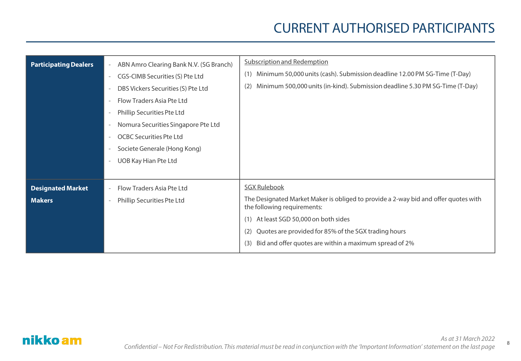## CURRENT AUTHORISED PARTICIPANTS

8

| <b>Participating Dealers</b>              | ABN Amro Clearing Bank N.V. (SG Branch)<br>$ \,$<br>CGS-CIMB Securities (S) Pte Ltd<br>$\overline{\phantom{0}}$<br>DBS Vickers Securities (S) Pte Ltd<br>Flow Traders Asia Pte Ltd<br>Phillip Securities Pte Ltd<br>Nomura Securities Singapore Pte Ltd<br><b>OCBC Securities Pte Ltd</b><br>Societe Generale (Hong Kong)<br>UOB Kay Hian Pte Ltd | <b>Subscription and Redemption</b><br>Minimum 50,000 units (cash). Submission deadline 12.00 PM SG-Time (T-Day)<br>(1)<br>Minimum 500,000 units (in-kind). Submission deadline 5.30 PM SG-Time (T-Day)<br>(2)                                                                                                         |
|-------------------------------------------|---------------------------------------------------------------------------------------------------------------------------------------------------------------------------------------------------------------------------------------------------------------------------------------------------------------------------------------------------|-----------------------------------------------------------------------------------------------------------------------------------------------------------------------------------------------------------------------------------------------------------------------------------------------------------------------|
| <b>Designated Market</b><br><b>Makers</b> | Flow Traders Asia Pte Ltd<br>$\overline{\phantom{0}}$<br>Phillip Securities Pte Ltd                                                                                                                                                                                                                                                               | <b>SGX Rulebook</b><br>The Designated Market Maker is obliged to provide a 2-way bid and offer quotes with<br>the following requirements:<br>At least SGD 50,000 on both sides<br>(1)<br>Quotes are provided for 85% of the SGX trading hours<br>(2)<br>Bid and offer quotes are within a maximum spread of 2%<br>(3) |

#### nikko am